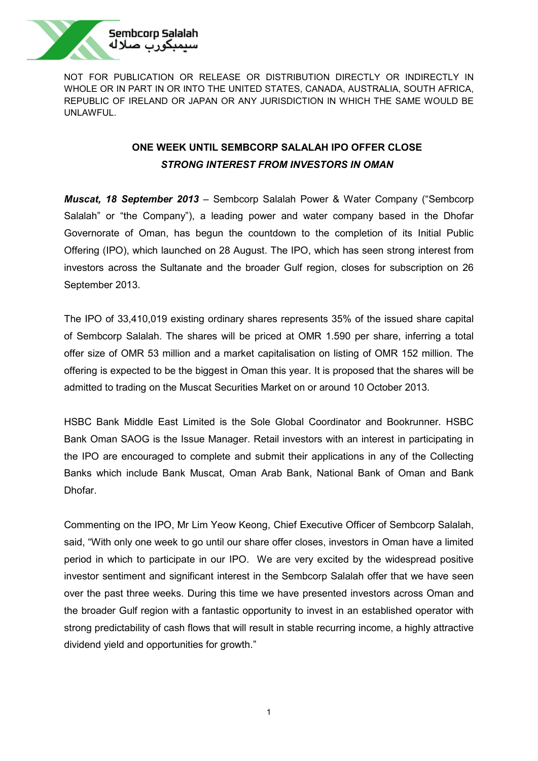

# **ONE WEEK UNTIL SEMBCORP SALALAH IPO OFFER CLOSE** *STRONG INTEREST FROM INVESTORS IN OMAN*

*Muscat, 18 September 2013* – Sembcorp Salalah Power & Water Company ("Sembcorp Salalah" or "the Company"), a leading power and water company based in the Dhofar Governorate of Oman, has begun the countdown to the completion of its Initial Public Offering (IPO), which launched on 28 August. The IPO, which has seen strong interest from investors across the Sultanate and the broader Gulf region, closes for subscription on 26 September 2013.

The IPO of 33,410,019 existing ordinary shares represents 35% of the issued share capital of Sembcorp Salalah. The shares will be priced at OMR 1.590 per share, inferring a total offer size of OMR 53 million and a market capitalisation on listing of OMR 152 million. The offering is expected to be the biggest in Oman this year. It is proposed that the shares will be admitted to trading on the Muscat Securities Market on or around 10 October 2013.

HSBC Bank Middle East Limited is the Sole Global Coordinator and Bookrunner. HSBC Bank Oman SAOG is the Issue Manager. Retail investors with an interest in participating in the IPO are encouraged to complete and submit their applications in any of the Collecting Banks which include Bank Muscat, Oman Arab Bank, National Bank of Oman and Bank Dhofar.

Commenting on the IPO, Mr Lim Yeow Keong, Chief Executive Officer of Sembcorp Salalah, said, "With only one week to go until our share offer closes, investors in Oman have a limited period in which to participate in our IPO. We are very excited by the widespread positive investor sentiment and significant interest in the Sembcorp Salalah offer that we have seen over the past three weeks. During this time we have presented investors across Oman and the broader Gulf region with a fantastic opportunity to invest in an established operator with strong predictability of cash flows that will result in stable recurring income, a highly attractive dividend yield and opportunities for growth."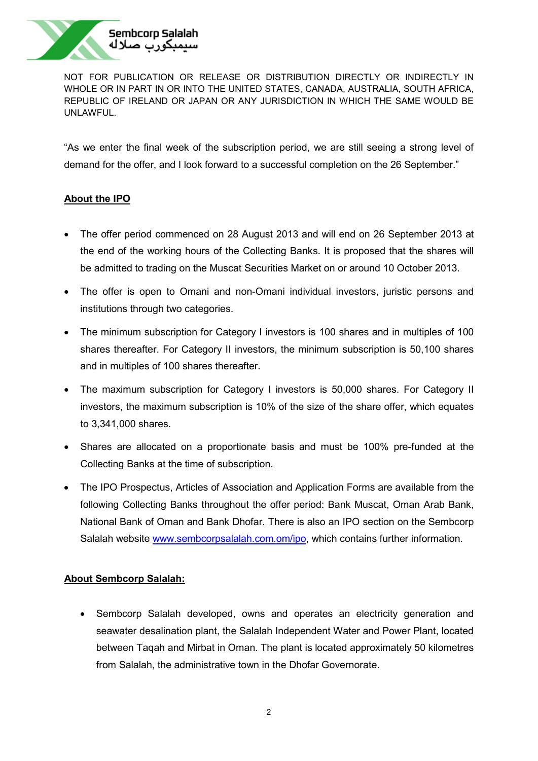

"As we enter the final week of the subscription period, we are still seeing a strong level of demand for the offer, and I look forward to a successful completion on the 26 September."

# **About the IPO**

- The offer period commenced on 28 August 2013 and will end on 26 September 2013 at the end of the working hours of the Collecting Banks. It is proposed that the shares will be admitted to trading on the Muscat Securities Market on or around 10 October 2013.
- The offer is open to Omani and non-Omani individual investors, juristic persons and institutions through two categories.
- The minimum subscription for Category I investors is 100 shares and in multiples of 100 shares thereafter. For Category II investors, the minimum subscription is 50,100 shares and in multiples of 100 shares thereafter.
- The maximum subscription for Category I investors is 50,000 shares. For Category II investors, the maximum subscription is 10% of the size of the share offer, which equates to 3,341,000 shares.
- Shares are allocated on a proportionate basis and must be 100% pre-funded at the Collecting Banks at the time of subscription.
- The IPO Prospectus, Articles of Association and Application Forms are available from the following Collecting Banks throughout the offer period: Bank Muscat, Oman Arab Bank, National Bank of Oman and Bank Dhofar. There is also an IPO section on the Sembcorp Salalah website [www.sembcorpsalalah.com.om/ipo,](http://www.sembcorpsalalah.com.om/ipo) which contains further information.

# **About Sembcorp Salalah:**

• Sembcorp Salalah developed, owns and operates an electricity generation and seawater desalination plant, the Salalah Independent Water and Power Plant, located between Taqah and Mirbat in Oman. The plant is located approximately 50 kilometres from Salalah, the administrative town in the Dhofar Governorate.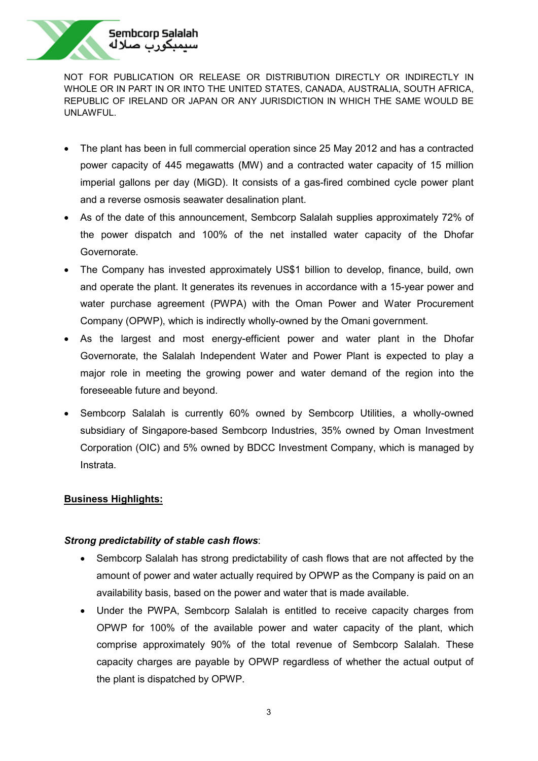

- The plant has been in full commercial operation since 25 May 2012 and has a contracted power capacity of 445 megawatts (MW) and a contracted water capacity of 15 million imperial gallons per day (MiGD). It consists of a gas-fired combined cycle power plant and a reverse osmosis seawater desalination plant.
- As of the date of this announcement, Sembcorp Salalah supplies approximately 72% of the power dispatch and 100% of the net installed water capacity of the Dhofar Governorate.
- The Company has invested approximately US\$1 billion to develop, finance, build, own and operate the plant. It generates its revenues in accordance with a 15-year power and water purchase agreement (PWPA) with the Oman Power and Water Procurement Company (OPWP), which is indirectly wholly-owned by the Omani government.
- As the largest and most energy-efficient power and water plant in the Dhofar Governorate, the Salalah Independent Water and Power Plant is expected to play a major role in meeting the growing power and water demand of the region into the foreseeable future and beyond.
- Sembcorp Salalah is currently 60% owned by Sembcorp Utilities, a wholly-owned subsidiary of Singapore-based Sembcorp Industries, 35% owned by Oman Investment Corporation (OIC) and 5% owned by BDCC Investment Company, which is managed by Instrata.

### **Business Highlights:**

### *Strong predictability of stable cash flows*:

- Sembcorp Salalah has strong predictability of cash flows that are not affected by the amount of power and water actually required by OPWP as the Company is paid on an availability basis, based on the power and water that is made available.
- Under the PWPA, Sembcorp Salalah is entitled to receive capacity charges from OPWP for 100% of the available power and water capacity of the plant, which comprise approximately 90% of the total revenue of Sembcorp Salalah. These capacity charges are payable by OPWP regardless of whether the actual output of the plant is dispatched by OPWP.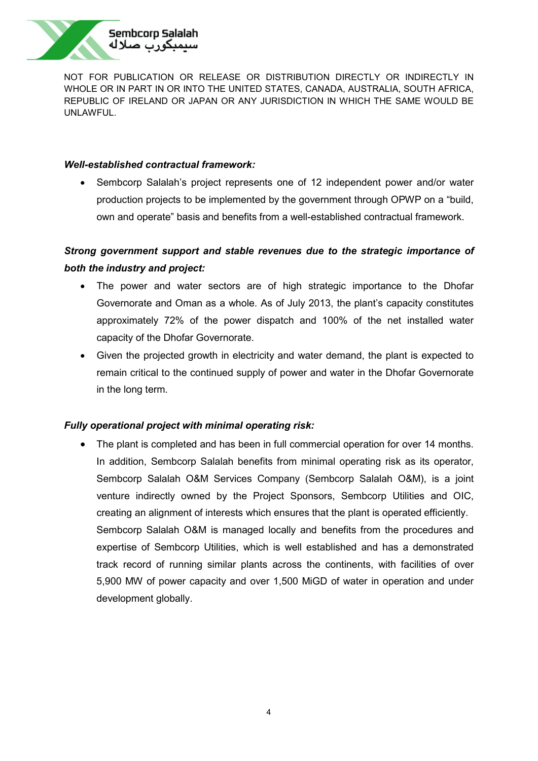

### *Well-established contractual framework:*

• Sembcorp Salalah's project represents one of 12 independent power and/or water production projects to be implemented by the government through OPWP on a "build, own and operate" basis and benefits from a well-established contractual framework.

# *Strong government support and stable revenues due to the strategic importance of both the industry and project:*

- The power and water sectors are of high strategic importance to the Dhofar Governorate and Oman as a whole. As of July 2013, the plant's capacity constitutes approximately 72% of the power dispatch and 100% of the net installed water capacity of the Dhofar Governorate.
- Given the projected growth in electricity and water demand, the plant is expected to remain critical to the continued supply of power and water in the Dhofar Governorate in the long term.

# *Fully operational project with minimal operating risk:*

• The plant is completed and has been in full commercial operation for over 14 months. In addition, Sembcorp Salalah benefits from minimal operating risk as its operator, Sembcorp Salalah O&M Services Company (Sembcorp Salalah O&M), is a joint venture indirectly owned by the Project Sponsors, Sembcorp Utilities and OIC, creating an alignment of interests which ensures that the plant is operated efficiently. Sembcorp Salalah O&M is managed locally and benefits from the procedures and expertise of Sembcorp Utilities, which is well established and has a demonstrated track record of running similar plants across the continents, with facilities of over 5,900 MW of power capacity and over 1,500 MiGD of water in operation and under development globally.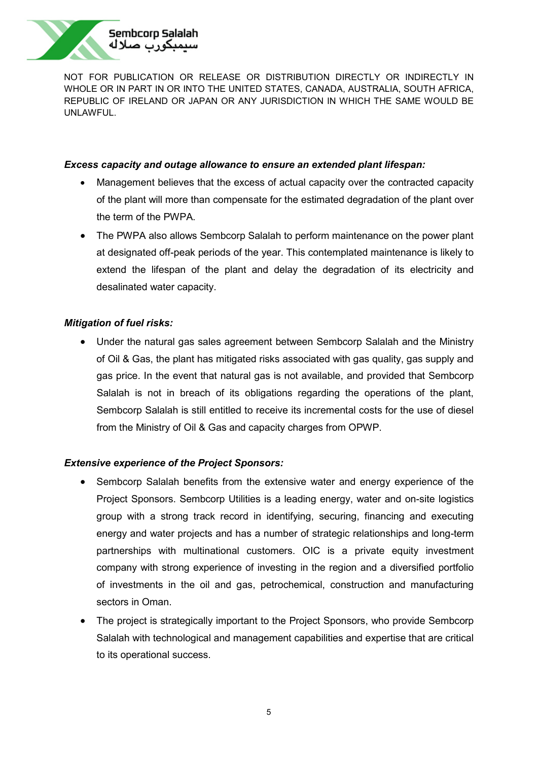

## *Excess capacity and outage allowance to ensure an extended plant lifespan:*

- Management believes that the excess of actual capacity over the contracted capacity of the plant will more than compensate for the estimated degradation of the plant over the term of the PWPA.
- The PWPA also allows Sembcorp Salalah to perform maintenance on the power plant at designated off-peak periods of the year. This contemplated maintenance is likely to extend the lifespan of the plant and delay the degradation of its electricity and desalinated water capacity.

# *Mitigation of fuel risks:*

• Under the natural gas sales agreement between Sembcorp Salalah and the Ministry of Oil & Gas, the plant has mitigated risks associated with gas quality, gas supply and gas price. In the event that natural gas is not available, and provided that Sembcorp Salalah is not in breach of its obligations regarding the operations of the plant, Sembcorp Salalah is still entitled to receive its incremental costs for the use of diesel from the Ministry of Oil & Gas and capacity charges from OPWP.

# *Extensive experience of the Project Sponsors:*

- Sembcorp Salalah benefits from the extensive water and energy experience of the Project Sponsors. Sembcorp Utilities is a leading energy, water and on-site logistics group with a strong track record in identifying, securing, financing and executing energy and water projects and has a number of strategic relationships and long-term partnerships with multinational customers. OIC is a private equity investment company with strong experience of investing in the region and a diversified portfolio of investments in the oil and gas, petrochemical, construction and manufacturing sectors in Oman.
- The project is strategically important to the Project Sponsors, who provide Sembcorp Salalah with technological and management capabilities and expertise that are critical to its operational success.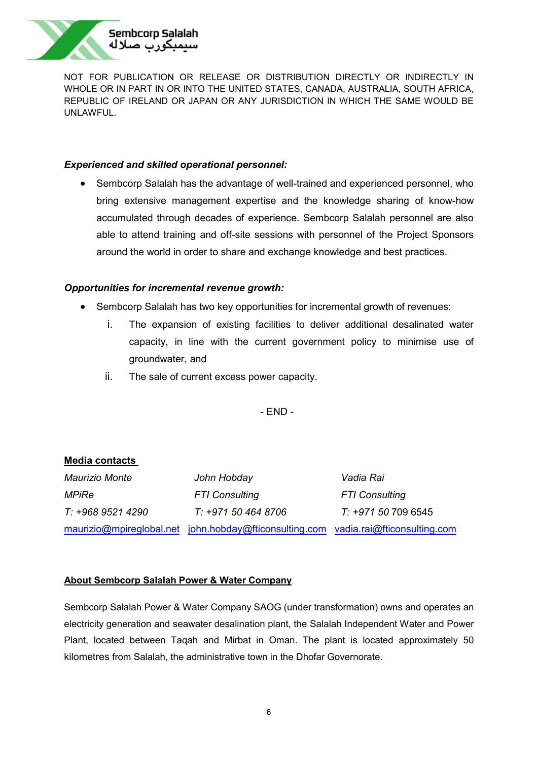

## *Experienced and skilled operational personnel:*

• Sembcorp Salalah has the advantage of well-trained and experienced personnel, who bring extensive management expertise and the knowledge sharing of know-how accumulated through decades of experience. Sembcorp Salalah personnel are also able to attend training and off-site sessions with personnel of the Project Sponsors around the world in order to share and exchange knowledge and best practices.

## *Opportunities for incremental revenue growth:*

- Sembcorp Salalah has two key opportunities for incremental growth of revenues:
	- i. The expansion of existing facilities to deliver additional desalinated water capacity, in line with the current government policy to minimise use of groundwater, and
	- ii. The sale of current excess power capacity.

- END -

| <b>Media contacts</b> |                                                                                    |                       |
|-----------------------|------------------------------------------------------------------------------------|-----------------------|
| Maurizio Monte        | John Hobday                                                                        | Vadia Rai             |
| <b>MPiRe</b>          | <b>FTI Consulting</b>                                                              | <b>FTI Consulting</b> |
| T: +968 9521 4290     | T: +971 50 464 8706                                                                | T: +971 50 709 6545   |
|                       | maurizio@mpireglobal.net john.hobday@fticonsulting.com vadia.rai@fticonsulting.com |                       |

### **About Sembcorp Salalah Power & Water Company**

Sembcorp Salalah Power & Water Company SAOG (under transformation) owns and operates an electricity generation and seawater desalination plant, the Salalah Independent Water and Power Plant, located between Taqah and Mirbat in Oman. The plant is located approximately 50 kilometres from Salalah, the administrative town in the Dhofar Governorate.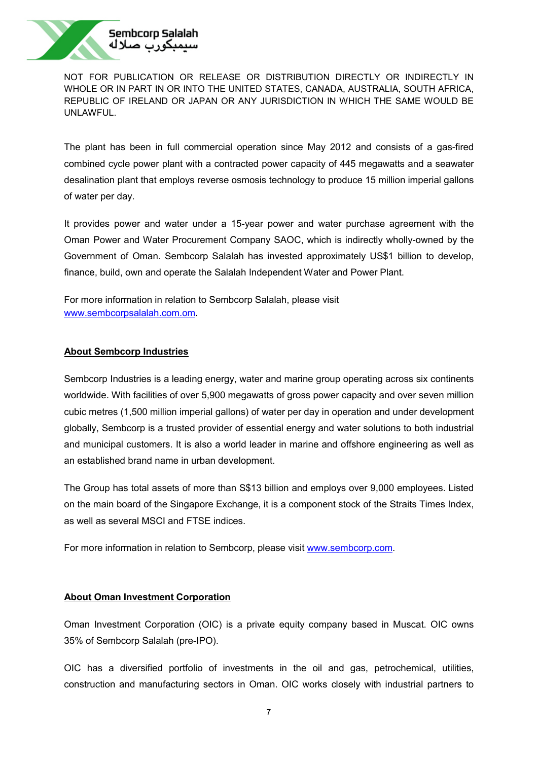

The plant has been in full commercial operation since May 2012 and consists of a gas-fired combined cycle power plant with a contracted power capacity of 445 megawatts and a seawater desalination plant that employs reverse osmosis technology to produce 15 million imperial gallons of water per day.

It provides power and water under a 15-year power and water purchase agreement with the Oman Power and Water Procurement Company SAOC, which is indirectly wholly-owned by the Government of Oman. Sembcorp Salalah has invested approximately US\$1 billion to develop, finance, build, own and operate the Salalah Independent Water and Power Plant.

For more information in relation to Sembcorp Salalah, please visit [www.sembcorpsalalah.com.om](http://www.sembcorpsalalah.com.om/).

#### **About Sembcorp Industries**

Sembcorp Industries is a leading energy, water and marine group operating across six continents worldwide. With facilities of over 5,900 megawatts of gross power capacity and over seven million cubic metres (1,500 million imperial gallons) of water per day in operation and under development globally, Sembcorp is a trusted provider of essential energy and water solutions to both industrial and municipal customers. It is also a world leader in marine and offshore engineering as well as an established brand name in urban development.

The Group has total assets of more than S\$13 billion and employs over 9,000 employees. Listed on the main board of the Singapore Exchange, it is a component stock of the Straits Times Index, as well as several MSCI and FTSE indices.

For more information in relation to Sembcorp, please visit [www.sembcorp.com.](http://www.sembcorp.com/)

### **About Oman Investment Corporation**

Oman Investment Corporation (OIC) is a private equity company based in Muscat. OIC owns 35% of Sembcorp Salalah (pre-IPO).

OIC has a diversified portfolio of investments in the oil and gas, petrochemical, utilities, construction and manufacturing sectors in Oman. OIC works closely with industrial partners to